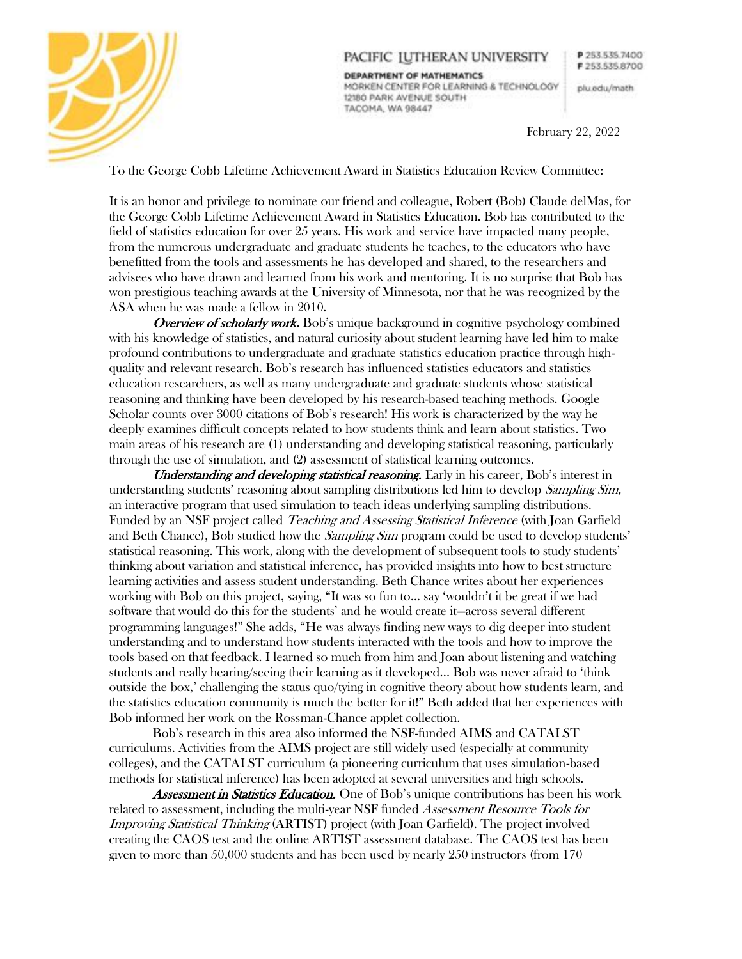

## PACIFIC IUTHERAN UNIVERSITY

DEPARTMENT OF MATHEMATICS MORKEN CENTER FOR LEARNING & TECHNOLOGY 12180 PARK AVENUE SOUTH TACOMA, WA 98447

plu.edu/math

February 22, 2022

To the George Cobb Lifetime Achievement Award in Statistics Education Review Committee:

It is an honor and privilege to nominate our friend and colleague, Robert (Bob) Claude delMas, for the George Cobb Lifetime Achievement Award in Statistics Education. Bob has contributed to the field of statistics education for over 25 years. His work and service have impacted many people, from the numerous undergraduate and graduate students he teaches, to the educators who have benefitted from the tools and assessments he has developed and shared, to the researchers and advisees who have drawn and learned from his work and mentoring. It is no surprise that Bob has won prestigious teaching awards at the University of Minnesota, nor that he was recognized by the ASA when he was made a fellow in 2010.

**Overview of scholarly work.** Bob's unique background in cognitive psychology combined with his knowledge of statistics, and natural curiosity about student learning have led him to make profound contributions to undergraduate and graduate statistics education practice through highquality and relevant research. Bob's research has influenced statistics educators and statistics education researchers, as well as many undergraduate and graduate students whose statistical reasoning and thinking have been developed by his research-based teaching methods. Google Scholar counts over 3000 citations of Bob's research! His work is characterized by the way he deeply examines difficult concepts related to how students think and learn about statistics. Two main areas of his research are (1) understanding and developing statistical reasoning, particularly through the use of simulation, and (2) assessment of statistical learning outcomes.

Understanding and developing statistical reasoning. Early in his career, Bob's interest in understanding students' reasoning about sampling distributions led him to develop *Sampling Sim*, an interactive program that used simulation to teach ideas underlying sampling distributions. Funded by an NSF project called *Teaching and Assessing Statistical Inference* (with Joan Garfield and Beth Chance), Bob studied how the *Sampling Sim* program could be used to develop students' statistical reasoning. This work, along with the development of subsequent tools to study students' thinking about variation and statistical inference, has provided insights into how to best structure learning activities and assess student understanding. Beth Chance writes about her experiences working with Bob on this project, saying, "It was so fun to... say 'wouldn't it be great if we had software that would do this for the students' and he would create it—across several different programming languages!" She adds, "He was always finding new ways to dig deeper into student understanding and to understand how students interacted with the tools and how to improve the tools based on that feedback. I learned so much from him and Joan about listening and watching students and really hearing/seeing their learning as it developed... Bob was never afraid to 'think outside the box,' challenging the status quo/tying in cognitive theory about how students learn, and the statistics education community is much the better for it!" Beth added that her experiences with Bob informed her work on the Rossman-Chance applet collection.

Bob's research in this area also informed the NSF-funded AIMS and CATALST curriculums. Activities from the AIMS project are still widely used (especially at community colleges), and the CATALST curriculum (a pioneering curriculum that uses simulation-based methods for statistical inference) has been adopted at several universities and high schools.

**Assessment in Statistics Education.** One of Bob's unique contributions has been his work related to assessment, including the multi-year NSF funded *Assessment Resource Tools for* Improving Statistical Thinking (ARTIST) project (with Joan Garfield). The project involved creating the CAOS test and the online ARTIST assessment database. The CAOS test has been given to more than 50,000 students and has been used by nearly 250 instructors (from 170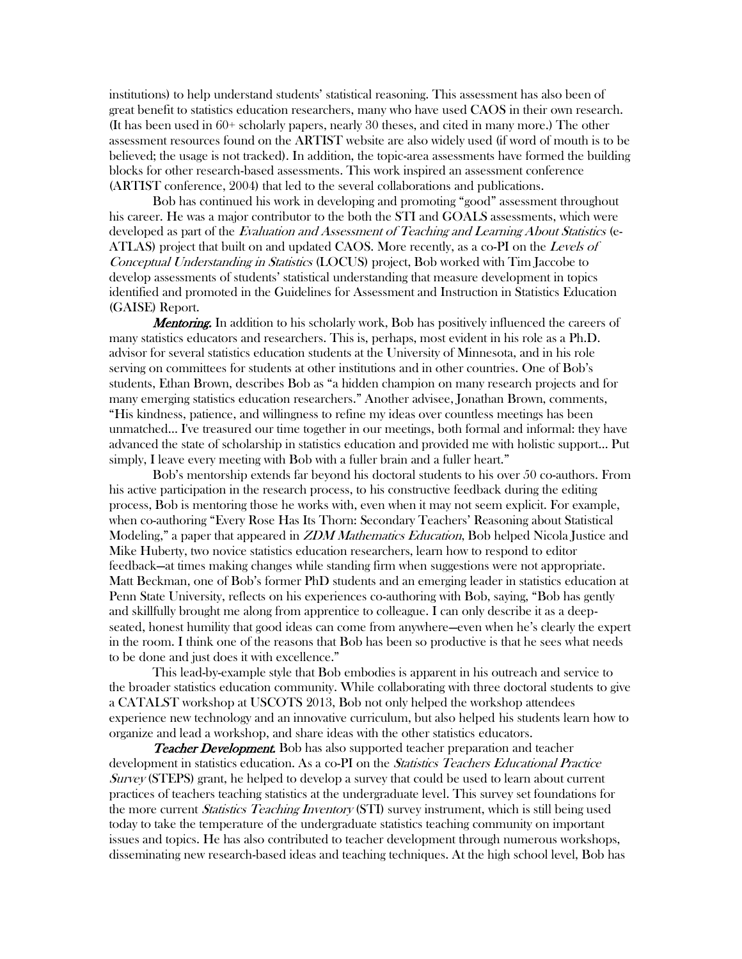institutions) to help understand students' statistical reasoning. This assessment has also been of great benefit to statistics education researchers, many who have used CAOS in their own research. (It has been used in 60+ scholarly papers, nearly 30 theses, and cited in many more.) The other assessment resources found on the ARTIST website are also widely used (if word of mouth is to be believed; the usage is not tracked). In addition, the topic-area assessments have formed the building blocks for other research-based assessments. This work inspired an assessment conference (ARTIST conference, 2004) that led to the several collaborations and publications.

Bob has continued his work in developing and promoting "good" assessment throughout his career. He was a major contributor to the both the STI and GOALS assessments, which were developed as part of the Evaluation and Assessment of Teaching and Learning About Statistics (e-ATLAS) project that built on and updated CAOS. More recently, as a co-PI on the Levels of Conceptual Understanding in Statistics (LOCUS) project, Bob worked with Tim Jaccobe to develop assessments of students' statistical understanding that measure development in topics identified and promoted in the Guidelines for Assessment and Instruction in Statistics Education (GAISE) Report.

**Mentoring.** In addition to his scholarly work, Bob has positively influenced the careers of many statistics educators and researchers. This is, perhaps, most evident in his role as a Ph.D. advisor for several statistics education students at the University of Minnesota, and in his role serving on committees for students at other institutions and in other countries. One of Bob's students, Ethan Brown, describes Bob as "a hidden champion on many research projects and for many emerging statistics education researchers." Another advisee, Jonathan Brown, comments, "His kindness, patience, and willingness to refine my ideas over countless meetings has been unmatched... I've treasured our time together in our meetings, both formal and informal: they have advanced the state of scholarship in statistics education and provided me with holistic support... Put simply, I leave every meeting with Bob with a fuller brain and a fuller heart."

Bob's mentorship extends far beyond his doctoral students to his over 50 co-authors. From his active participation in the research process, to his constructive feedback during the editing process, Bob is mentoring those he works with, even when it may not seem explicit. For example, when co-authoring "Every Rose Has Its Thorn: Secondary Teachers' Reasoning about Statistical Modeling," a paper that appeared in *ZDM Mathematics Education*, Bob helped Nicola Justice and Mike Huberty, two novice statistics education researchers, learn how to respond to editor feedback—at times making changes while standing firm when suggestions were not appropriate. Matt Beckman, one of Bob's former PhD students and an emerging leader in statistics education at Penn State University, reflects on his experiences co-authoring with Bob, saying, "Bob has gently and skillfully brought me along from apprentice to colleague. I can only describe it as a deepseated, honest humility that good ideas can come from anywhere—even when he's clearly the expert in the room. I think one of the reasons that Bob has been so productive is that he sees what needs to be done and just does it with excellence."

This lead-by-example style that Bob embodies is apparent in his outreach and service to the broader statistics education community. While collaborating with three doctoral students to give a CATALST workshop at USCOTS 2013, Bob not only helped the workshop attendees experience new technology and an innovative curriculum, but also helped his students learn how to organize and lead a workshop, and share ideas with the other statistics educators.

**Teacher Development.** Bob has also supported teacher preparation and teacher development in statistics education. As a co-PI on the *Statistics Teachers Educational Practice* Survey (STEPS) grant, he helped to develop a survey that could be used to learn about current practices of teachers teaching statistics at the undergraduate level. This survey set foundations for the more current *Statistics Teaching Inventory* (STI) survey instrument, which is still being used today to take the temperature of the undergraduate statistics teaching community on important issues and topics. He has also contributed to teacher development through numerous workshops, disseminating new research-based ideas and teaching techniques. At the high school level, Bob has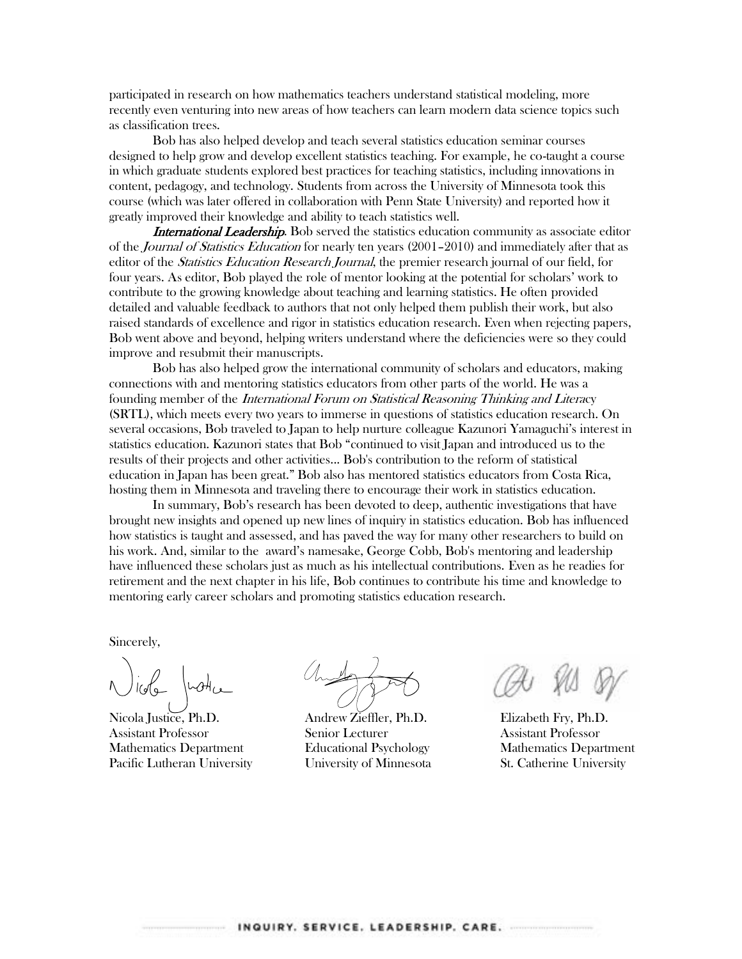participated in research on how mathematics teachers understand statistical modeling, more recently even venturing into new areas of how teachers can learn modern data science topics such as classification trees.

Bob has also helped develop and teach several statistics education seminar courses designed to help grow and develop excellent statistics teaching. For example, he co-taught a course in which graduate students explored best practices for teaching statistics, including innovations in content, pedagogy, and technology. Students from across the University of Minnesota took this course (which was later offered in collaboration with Penn State University) and reported how it greatly improved their knowledge and ability to teach statistics well.

**International Leadership.** Bob served the statistics education community as associate editor of the *Journal of Statistics Education* for nearly ten years (2001–2010) and immediately after that as editor of the *Statistics Education Research Journal*, the premier research journal of our field, for four years. As editor, Bob played the role of mentor looking at the potential for scholars' work to contribute to the growing knowledge about teaching and learning statistics. He often provided detailed and valuable feedback to authors that not only helped them publish their work, but also raised standards of excellence and rigor in statistics education research. Even when rejecting papers, Bob went above and beyond, helping writers understand where the deficiencies were so they could improve and resubmit their manuscripts.

Bob has also helped grow the international community of scholars and educators, making connections with and mentoring statistics educators from other parts of the world. He was a founding member of the International Forum on Statistical Reasoning Thinking and Literacy (SRTL), which meets every two years to immerse in questions of statistics education research. On several occasions, Bob traveled to Japan to help nurture colleague Kazunori Yamaguchi's interest in statistics education. Kazunori states that Bob "continued to visit Japan and introduced us to the results of their projects and other activities... Bob's contribution to the reform of statistical education in Japan has been great." Bob also has mentored statistics educators from Costa Rica, hosting them in Minnesota and traveling there to encourage their work in statistics education.

In summary, Bob's research has been devoted to deep, authentic investigations that have brought new insights and opened up new lines of inquiry in statistics education. Bob has influenced how statistics is taught and assessed, and has paved the way for many other researchers to build on his work. And, similar to the award's namesake, George Cobb, Bob's mentoring and leadership have influenced these scholars just as much as his intellectual contributions. Even as he readies for retirement and the next chapter in his life, Bob continues to contribute his time and knowledge to mentoring early career scholars and promoting statistics education research.

Sincerely,

Nicola Justice, Ph.D. Assistant Professor Mathematics Department Pacific Lutheran University

Andrew Zieffler, Ph.D. Senior Lecturer Educational Psychology University of Minnesota

Elizabeth Fry, Ph.D. Assistant Professor Mathematics Department St. Catherine University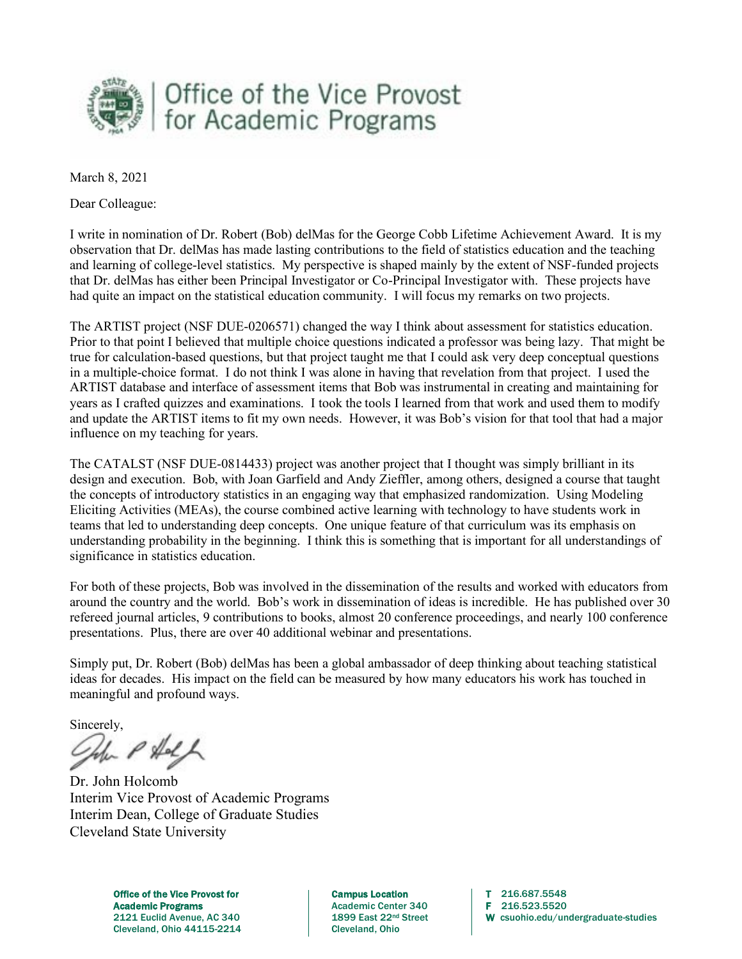

March 8, 2021

Dear Colleague:

I write in nomination of Dr. Robert (Bob) delMas for the George Cobb Lifetime Achievement Award. It is my observation that Dr. delMas has made lasting contributions to the field of statistics education and the teaching and learning of college-level statistics. My perspective is shaped mainly by the extent of NSF-funded projects that Dr. delMas has either been Principal Investigator or Co-Principal Investigator with. These projects have had quite an impact on the statistical education community. I will focus my remarks on two projects.

The ARTIST project (NSF DUE-0206571) changed the way I think about assessment for statistics education. Prior to that point I believed that multiple choice questions indicated a professor was being lazy. That might be true for calculation-based questions, but that project taught me that I could ask very deep conceptual questions in a multiple-choice format. I do not think I was alone in having that revelation from that project. I used the ARTIST database and interface of assessment items that Bob was instrumental in creating and maintaining for years as I crafted quizzes and examinations. I took the tools I learned from that work and used them to modify and update the ARTIST items to fit my own needs. However, it was Bob's vision for that tool that had a major influence on my teaching for years.

The CATALST (NSF DUE-0814433) project was another project that I thought was simply brilliant in its design and execution. Bob, with Joan Garfield and Andy Zieffler, among others, designed a course that taught the concepts of introductory statistics in an engaging way that emphasized randomization. Using Modeling Eliciting Activities (MEAs), the course combined active learning with technology to have students work in teams that led to understanding deep concepts. One unique feature of that curriculum was its emphasis on understanding probability in the beginning. I think this is something that is important for all understandings of significance in statistics education.

For both of these projects, Bob was involved in the dissemination of the results and worked with educators from around the country and the world. Bob's work in dissemination of ideas is incredible. He has published over 30 refereed journal articles, 9 contributions to books, almost 20 conference proceedings, and nearly 100 conference presentations. Plus, there are over 40 additional webinar and presentations.

Simply put, Dr. Robert (Bob) delMas has been a global ambassador of deep thinking about teaching statistical ideas for decades. His impact on the field can be measured by how many educators his work has touched in meaningful and profound ways.

Sincerely,

 $-$  P Holf

Dr. John Holcomb Interim Vice Provost of Academic Programs Interim Dean, College of Graduate Studies Cleveland State University

Office of the Vice Provost for The Campus Location T 216.687.5548 Academic Programs <br>
2121 Euclid Avenue, AC 340 **Academic Center 340** F 216.523.5520<br>
1899 East 22<sup>nd</sup> Street W csuohio.edu/ur Cleveland, Ohio 44115-2214 Cleveland, Ohio

W csuohio.edu/undergraduate-studies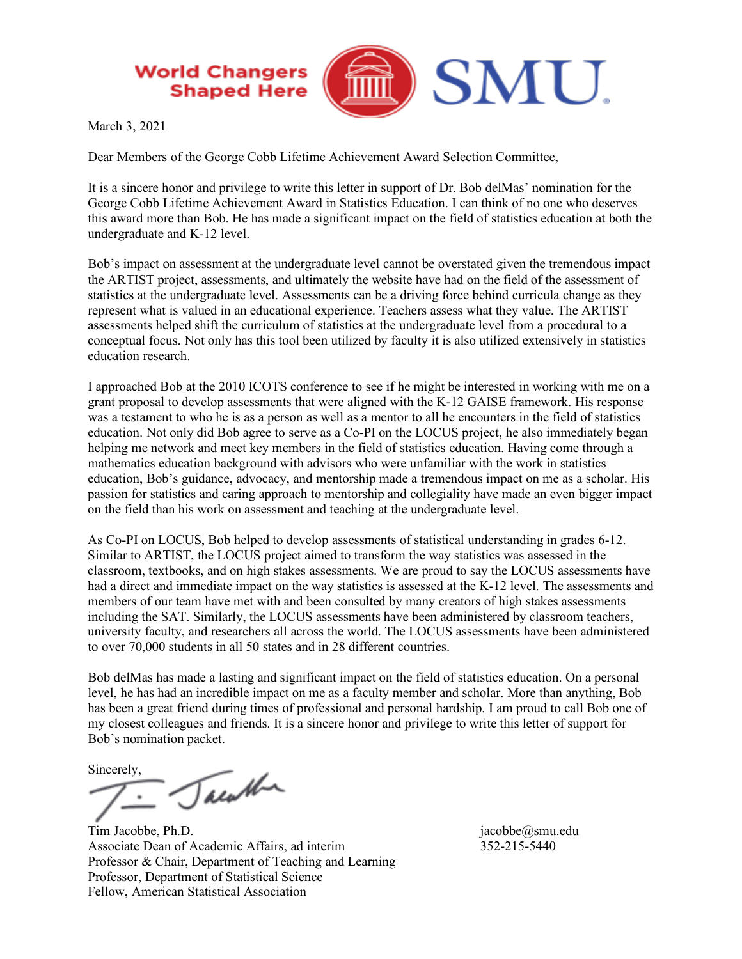## **World Changers Shaped Here**



March 3, 2021

Dear Members of the George Cobb Lifetime Achievement Award Selection Committee,

It is a sincere honor and privilege to write this letter in support of Dr. Bob delMas' nomination for the George Cobb Lifetime Achievement Award in Statistics Education. I can think of no one who deserves this award more than Bob. He has made a significant impact on the field of statistics education at both the undergraduate and K-12 level.

Bob's impact on assessment at the undergraduate level cannot be overstated given the tremendous impact the ARTIST project, assessments, and ultimately the website have had on the field of the assessment of statistics at the undergraduate level. Assessments can be a driving force behind curricula change as they represent what is valued in an educational experience. Teachers assess what they value. The ARTIST assessments helped shift the curriculum of statistics at the undergraduate level from a procedural to a conceptual focus. Not only has this tool been utilized by faculty it is also utilized extensively in statistics education research.

I approached Bob at the 2010 ICOTS conference to see if he might be interested in working with me on a grant proposal to develop assessments that were aligned with the K-12 GAISE framework. His response was a testament to who he is as a person as well as a mentor to all he encounters in the field of statistics education. Not only did Bob agree to serve as a Co-PI on the LOCUS project, he also immediately began helping me network and meet key members in the field of statistics education. Having come through a mathematics education background with advisors who were unfamiliar with the work in statistics education, Bob's guidance, advocacy, and mentorship made a tremendous impact on me as a scholar. His passion for statistics and caring approach to mentorship and collegiality have made an even bigger impact on the field than his work on assessment and teaching at the undergraduate level.

As Co-PI on LOCUS, Bob helped to develop assessments of statistical understanding in grades 6-12. Similar to ARTIST, the LOCUS project aimed to transform the way statistics was assessed in the classroom, textbooks, and on high stakes assessments. We are proud to say the LOCUS assessments have had a direct and immediate impact on the way statistics is assessed at the K-12 level. The assessments and members of our team have met with and been consulted by many creators of high stakes assessments including the SAT. Similarly, the LOCUS assessments have been administered by classroom teachers, university faculty, and researchers all across the world. The LOCUS assessments have been administered to over 70,000 students in all 50 states and in 28 different countries.

Bob delMas has made a lasting and significant impact on the field of statistics education. On a personal level, he has had an incredible impact on me as a faculty member and scholar. More than anything, Bob has been a great friend during times of professional and personal hardship. I am proud to call Bob one of my closest colleagues and friends. It is a sincere honor and privilege to write this letter of support for Bob's nomination packet.

Sincerely,

Tacatha

Tim Jacobbe, Ph.D. jacobbe as the state of the state of the state of the state of the state of the state of the state of the state of the state of the state of the state of the state of the state of the state of the state Associate Dean of Academic Affairs, ad interim 352-215-5440 Professor & Chair, Department of Teaching and Learning Professor, Department of Statistical Science Fellow, American Statistical Association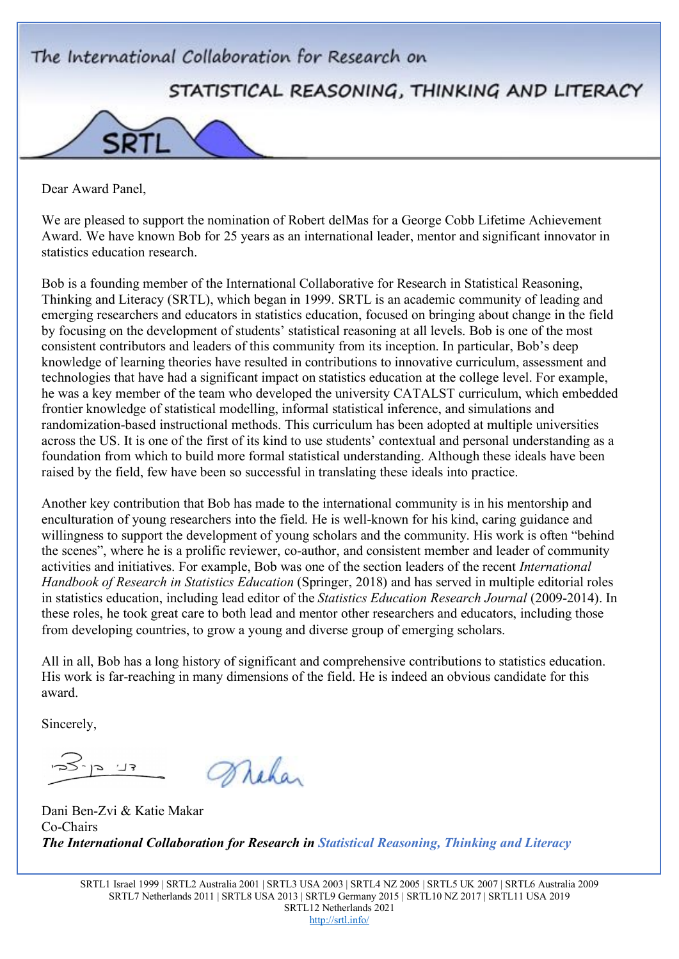

Dear Award Panel,

We are pleased to support the nomination of Robert delMas for a George Cobb Lifetime Achievement Award. We have known Bob for 25 years as an international leader, mentor and significant innovator in statistics education research.

Bob is a founding member of the International Collaborative for Research in Statistical Reasoning, Thinking and Literacy (SRTL), which began in 1999. SRTL is an academic community of leading and emerging researchers and educators in statistics education, focused on bringing about change in the field by focusing on the development of students' statistical reasoning at all levels. Bob is one of the most consistent contributors and leaders of this community from its inception. In particular, Bob's deep knowledge of learning theories have resulted in contributions to innovative curriculum, assessment and technologies that have had a significant impact on statistics education at the college level. For example, he was a key member of the team who developed the university CATALST curriculum, which embedded frontier knowledge of statistical modelling, informal statistical inference, and simulations and randomization-based instructional methods. This curriculum has been adopted at multiple universities across the US. It is one of the first of its kind to use students' contextual and personal understanding as a foundation from which to build more formal statistical understanding. Although these ideals have been raised by the field, few have been so successful in translating these ideals into practice.

Another key contribution that Bob has made to the international community is in his mentorship and enculturation of young researchers into the field. He is well-known for his kind, caring guidance and willingness to support the development of young scholars and the community. His work is often "behind the scenes", where he is a prolific reviewer, co-author, and consistent member and leader of community activities and initiatives. For example, Bob was one of the section leaders of the recent *International Handbook of Research in Statistics Education* (Springer, 2018) and has served in multiple editorial roles in statistics education, including lead editor of the *Statistics Education Research Journal* (2009-2014). In these roles, he took great care to both lead and mentor other researchers and educators, including those from developing countries, to grow a young and diverse group of emerging scholars.

All in all, Bob has a long history of significant and comprehensive contributions to statistics education. His work is far-reaching in many dimensions of the field. He is indeed an obvious candidate for this award.

Sincerely,

צך. כו Wichan

Dani Ben-Zvi & Katie Makar Co-Chairs *The International Collaboration for Research in Statistical Reasoning, Thinking and Literacy*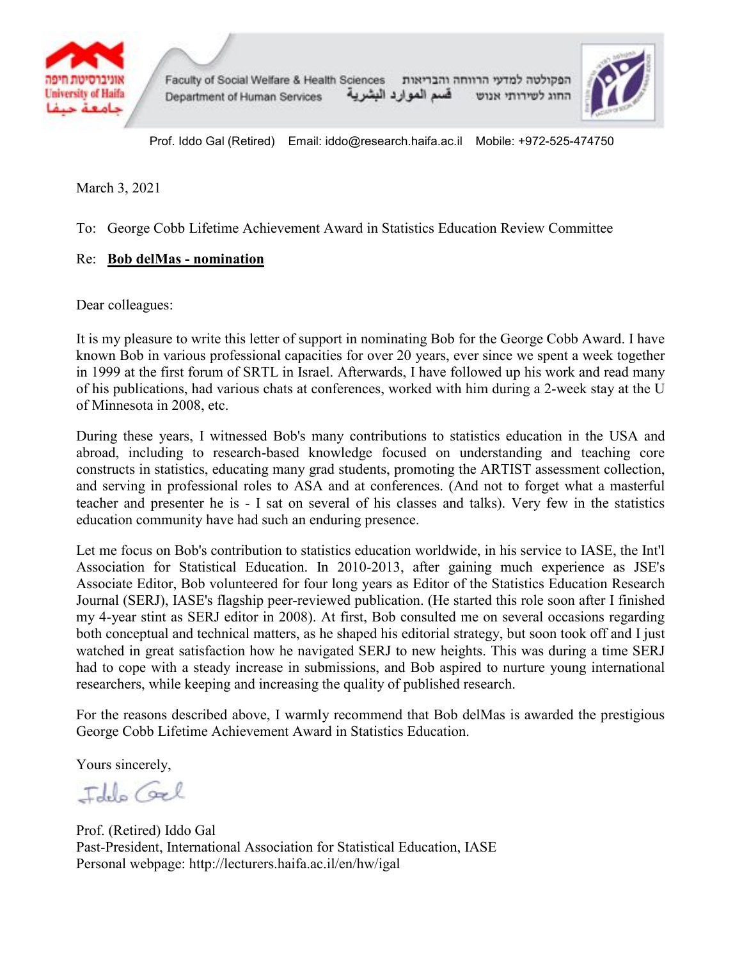



Prof. Iddo Gal (Retired) Email: iddo@research.haifa.ac.il Mobile: +972-525-474750

March 3, 2021

To: George Cobb Lifetime Achievement Award in Statistics Education Review Committee

## Re: **Bob delMas - nomination**

Dear colleagues:

It is my pleasure to write this letter of support in nominating Bob for the George Cobb Award. I have known Bob in various professional capacities for over 20 years, ever since we spent a week together in 1999 at the first forum of SRTL in Israel. Afterwards, I have followed up his work and read many of his publications, had various chats at conferences, worked with him during a 2-week stay at the U of Minnesota in 2008, etc.

During these years, I witnessed Bob's many contributions to statistics education in the USA and abroad, including to research-based knowledge focused on understanding and teaching core constructs in statistics, educating many grad students, promoting the ARTIST assessment collection, and serving in professional roles to ASA and at conferences. (And not to forget what a masterful teacher and presenter he is - I sat on several of his classes and talks). Very few in the statistics education community have had such an enduring presence.

Let me focus on Bob's contribution to statistics education worldwide, in his service to IASE, the Int'l Association for Statistical Education. In 2010-2013, after gaining much experience as JSE's Associate Editor, Bob volunteered for four long years as Editor of the Statistics Education Research Journal (SERJ), IASE's flagship peer-reviewed publication. (He started this role soon after I finished my 4-year stint as SERJ editor in 2008). At first, Bob consulted me on several occasions regarding both conceptual and technical matters, as he shaped his editorial strategy, but soon took off and I just watched in great satisfaction how he navigated SERJ to new heights. This was during a time SERJ had to cope with a steady increase in submissions, and Bob aspired to nurture young international researchers, while keeping and increasing the quality of published research.

For the reasons described above, I warmly recommend that Bob delMas is awarded the prestigious George Cobb Lifetime Achievement Award in Statistics Education.

Yours sincerely,

Idelo Coel

Prof. (Retired) Iddo Gal Past-President, International Association for Statistical Education, IASE Personal webpage: http://lecturers.haifa.ac.il/en/hw/igal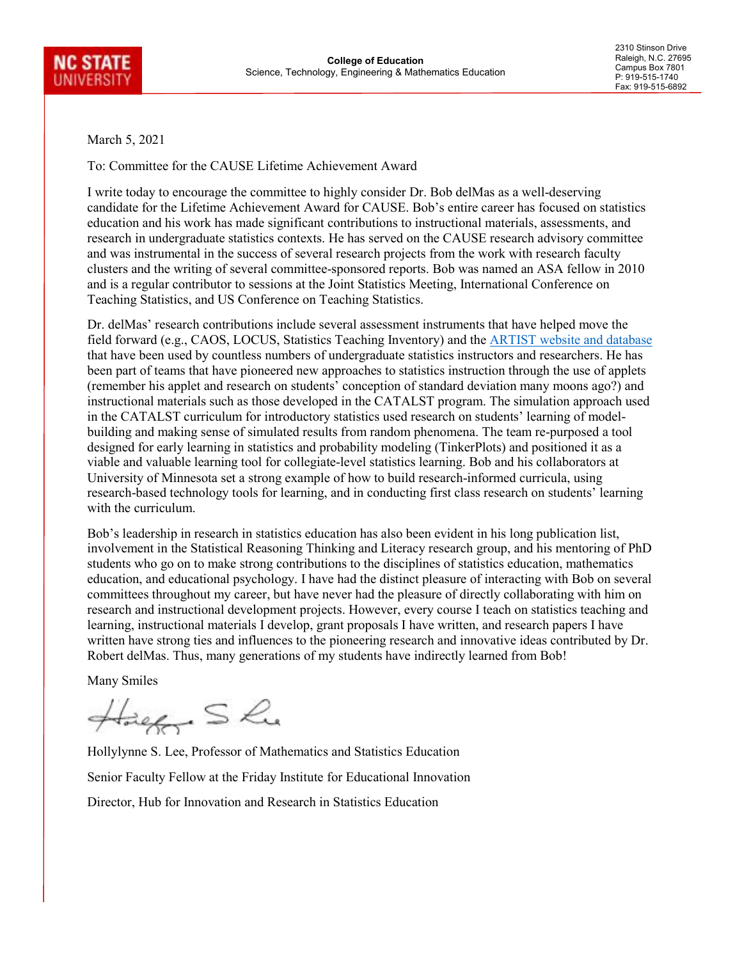

2310 Stinson Drive Raleigh, N.C. 27695 Campus Box 7801 P: 919-515-1740 Fax: 919-515-6892

March 5, 2021

To: Committee for the CAUSE Lifetime Achievement Award

I write today to encourage the committee to highly consider Dr. Bob delMas as a well-deserving candidate for the Lifetime Achievement Award for CAUSE. Bob's entire career has focused on statistics education and his work has made significant contributions to instructional materials, assessments, and research in undergraduate statistics contexts. He has served on the CAUSE research advisory committee and was instrumental in the success of several research projects from the work with research faculty clusters and the writing of several committee-sponsored reports. Bob was named an ASA fellow in 2010 and is a regular contributor to sessions at the Joint Statistics Meeting, International Conference on Teaching Statistics, and US Conference on Teaching Statistics.

Dr. delMas' research contributions include several assessment instruments that have helped move the field forward (e.g., CAOS, LOCUS, Statistics Teaching Inventory) and the [ARTIST website and database](https://apps3.cehd.umn.edu/artist/) that have been used by countless numbers of undergraduate statistics instructors and researchers. He has been part of teams that have pioneered new approaches to statistics instruction through the use of applets (remember his applet and research on students' conception of standard deviation many moons ago?) and instructional materials such as those developed in the CATALST program. The simulation approach used in the CATALST curriculum for introductory statistics used research on students' learning of modelbuilding and making sense of simulated results from random phenomena. The team re-purposed a tool designed for early learning in statistics and probability modeling (TinkerPlots) and positioned it as a viable and valuable learning tool for collegiate-level statistics learning. Bob and his collaborators at University of Minnesota set a strong example of how to build research-informed curricula, using research-based technology tools for learning, and in conducting first class research on students' learning with the curriculum.

Bob's leadership in research in statistics education has also been evident in his long publication list, involvement in the Statistical Reasoning Thinking and Literacy research group, and his mentoring of PhD students who go on to make strong contributions to the disciplines of statistics education, mathematics education, and educational psychology. I have had the distinct pleasure of interacting with Bob on several committees throughout my career, but have never had the pleasure of directly collaborating with him on research and instructional development projects. However, every course I teach on statistics teaching and learning, instructional materials I develop, grant proposals I have written, and research papers I have written have strong ties and influences to the pioneering research and innovative ideas contributed by Dr. Robert delMas. Thus, many generations of my students have indirectly learned from Bob!

Many Smiles

Hager She

Hollylynne S. Lee, Professor of Mathematics and Statistics Education Senior Faculty Fellow at the Friday Institute for Educational Innovation Director, Hub for Innovation and Research in Statistics Education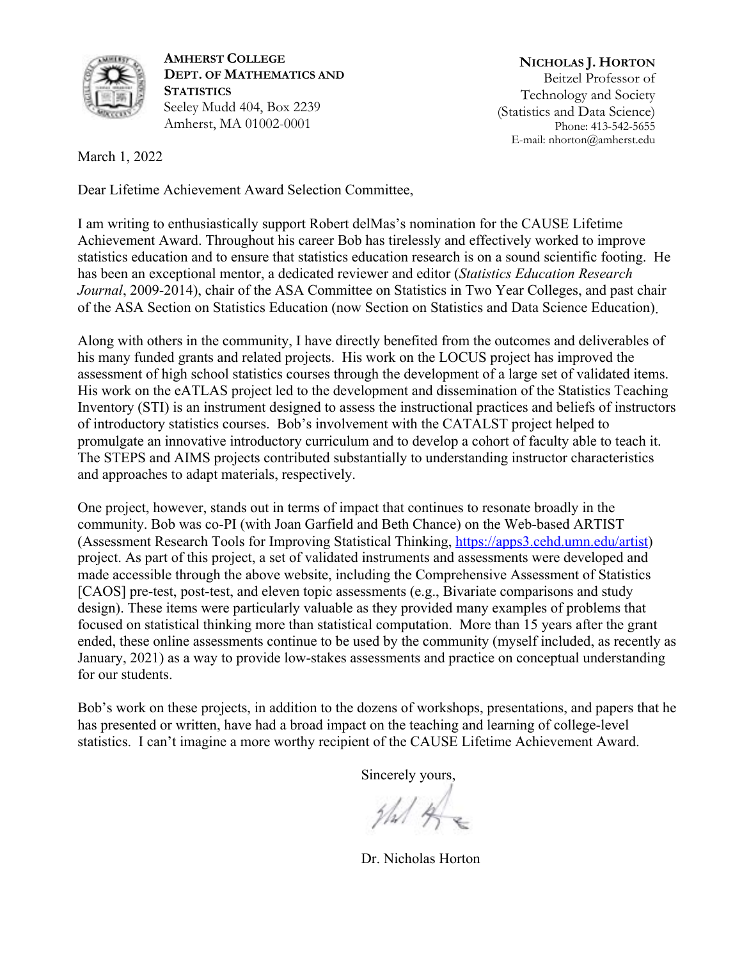

**AMHERST COLLEGE DEPT. OF MATHEMATICS AND STATISTICS** Seeley Mudd 404, Box 2239 Amherst, MA 01002-0001

**NICHOLAS J. HORTON** Beitzel Professor of Technology and Society (Statistics and Data Science) Phone: 413-542-5655 E-mail: nhorton@amherst.edu

March 1, 2022

Dear Lifetime Achievement Award Selection Committee,

I am writing to enthusiastically support Robert delMas's nomination for the CAUSE Lifetime Achievement Award. Throughout his career Bob has tirelessly and effectively worked to improve statistics education and to ensure that statistics education research is on a sound scientific footing. He has been an exceptional mentor, a dedicated reviewer and editor (*Statistics Education Research Journal*, 2009-2014), chair of the ASA Committee on Statistics in Two Year Colleges, and past chair of the ASA Section on Statistics Education (now Section on Statistics and Data Science Education) .

Along with others in the community, I have directly benefited from the outcomes and deliverables of his many funded grants and related projects. His work on the LOCUS project has improved the assessment of high school statistics courses through the development of a large set of validated items. His work on the eATLAS project led to the development and dissemination of the Statistics Teaching Inventory (STI) is an instrument designed to assess the instructional practices and beliefs of instructors of introductory statistics courses. Bob's involvement with the CATALST project helped to promulgate an innovative introductory curriculum and to develop a cohort of faculty able to teach it. The STEPS and AIMS projects contributed substantially to understanding instructor characteristics and approaches to adapt materials, respectively.

One project, however, stands out in terms of impact that continues to resonate broadly in the community. Bob was co-PI (with Joan Garfield and Beth Chance) on the Web-based ARTIST (Assessment Research Tools for Improving Statistical Thinking, https://apps3.cehd.umn.edu/artist) project. As part of this project, a set of validated instruments and assessments were developed and made accessible through the above website, including the Comprehensive Assessment of Statistics [CAOS] pre-test, post-test, and eleven topic assessments (e.g., Bivariate comparisons and study design). These items were particularly valuable as they provided many examples of problems that focused on statistical thinking more than statistical computation. More than 15 years after the grant ended, these online assessments continue to be used by the community (myself included, as recently as January, 2021) as a way to provide low-stakes assessments and practice on conceptual understanding for our students.

 $\mathcal{S}$  SMITH COLLEGE COLLEGE COLLEGE COLLEGE COLLEGE COLLEGE COLLEGE COLLEGE COLLEGE COLLEGE COLLEGE COLLEGE COLLEGE COLLEGE COLLEGE COLLEGE COLLEGE COLLEGE COLLEGE COLLEGE COLLEGE COLLEGE COLLEGE COLLEGE COLLEGE COLLEG s, ill auun has presented or written, have had a broad impact on the teaching and learning of college-level statistics. I can't imagine a more worthy recipient of the CAUSE Lifetime Achievement Award. Professor of Statistics Bob's work on these projects, in addition to the dozens of workshops, presentations, and papers that he

Sincerely yours,

 $4/4$ 

Dr. Nicholas Horton